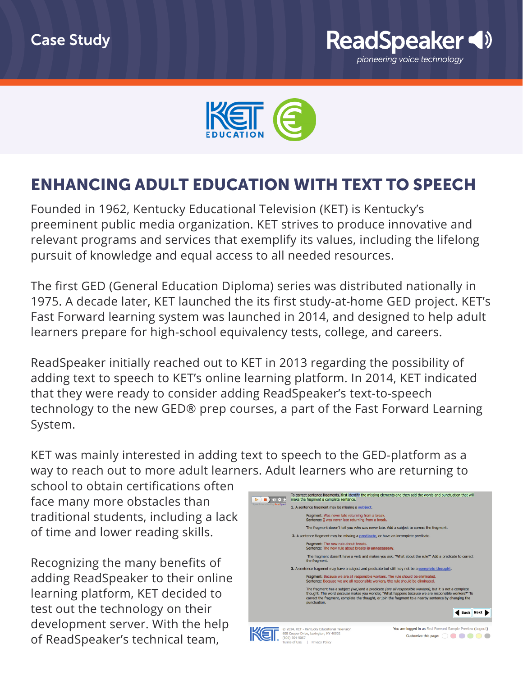



## ENHANCING ADULT EDUCATION WITH TEXT TO SPEECH

Founded in 1962, Kentucky Educational Television (KET) is Kentucky's preeminent public media organization. KET strives to produce innovative and relevant programs and services that exemplify its values, including the lifelong pursuit of knowledge and equal access to all needed resources.

The first GED (General Education Diploma) series was distributed nationally in 1975. A decade later, KET launched the its first study-at-home GED project. KET's Fast Forward learning system was launched in 2014, and designed to help adult learners prepare for high-school equivalency tests, college, and careers.

ReadSpeaker initially reached out to KET in 2013 regarding the possibility of adding text to speech to KET's online learning platform. In 2014, KET indicated that they were ready to consider adding ReadSpeaker's text-to-speech technology to the new GED® prep courses, a part of the Fast Forward Learning System.

KET was mainly interested in adding text to speech to the GED-platform as a way to reach out to more adult learners. Adult learners who are returning to

school to obtain certifications often face many more obstacles than traditional students, including a lack of time and lower reading skills.

Recognizing the many benefits of adding ReadSpeaker to their online learning platform, KET decided to test out the technology on their development server. With the help of ReadSpeaker's technical team,